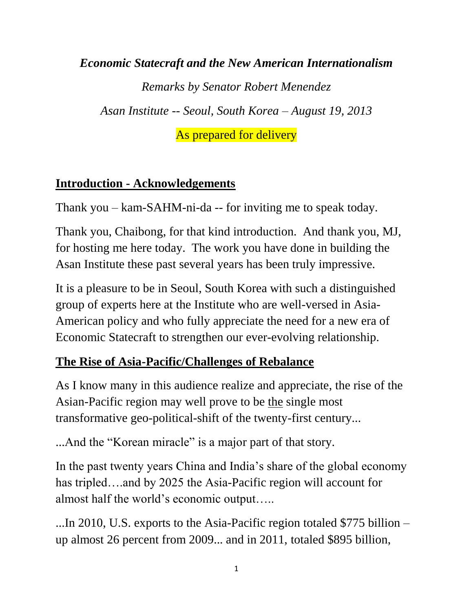*Economic Statecraft and the New American Internationalism*

*Remarks by Senator Robert Menendez Asan Institute -- Seoul, South Korea – August 19, 2013*

As prepared for delivery

#### **Introduction - Acknowledgements**

Thank you – kam-SAHM-ni-da -- for inviting me to speak today.

Thank you, Chaibong, for that kind introduction. And thank you, MJ, for hosting me here today. The work you have done in building the Asan Institute these past several years has been truly impressive.

It is a pleasure to be in Seoul, South Korea with such a distinguished group of experts here at the Institute who are well-versed in Asia-American policy and who fully appreciate the need for a new era of Economic Statecraft to strengthen our ever-evolving relationship.

#### **The Rise of Asia-Pacific/Challenges of Rebalance**

As I know many in this audience realize and appreciate, the rise of the Asian-Pacific region may well prove to be the single most transformative geo-political-shift of the twenty-first century...

...And the "Korean miracle" is a major part of that story.

In the past twenty years China and India's share of the global economy has tripled….and by 2025 the Asia-Pacific region will account for almost half the world's economic output…..

...In 2010, U.S. exports to the Asia-Pacific region totaled \$775 billion – up almost 26 percent from 2009... and in 2011, totaled \$895 billion,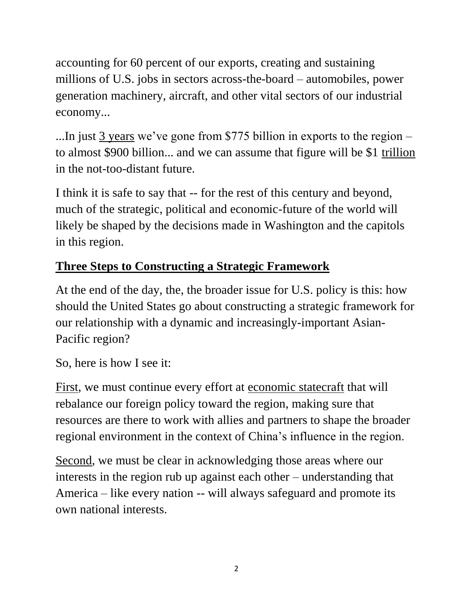accounting for 60 percent of our exports, creating and sustaining millions of U.S. jobs in sectors across-the-board – automobiles, power generation machinery, aircraft, and other vital sectors of our industrial economy...

...In just 3 years we've gone from \$775 billion in exports to the region – to almost \$900 billion... and we can assume that figure will be \$1 trillion in the not-too-distant future.

I think it is safe to say that -- for the rest of this century and beyond, much of the strategic, political and economic-future of the world will likely be shaped by the decisions made in Washington and the capitols in this region.

## **Three Steps to Constructing a Strategic Framework**

At the end of the day, the, the broader issue for U.S. policy is this: how should the United States go about constructing a strategic framework for our relationship with a dynamic and increasingly-important Asian-Pacific region?

So, here is how I see it:

First, we must continue every effort at economic statecraft that will rebalance our foreign policy toward the region, making sure that resources are there to work with allies and partners to shape the broader regional environment in the context of China's influence in the region.

Second, we must be clear in acknowledging those areas where our interests in the region rub up against each other – understanding that America – like every nation -- will always safeguard and promote its own national interests.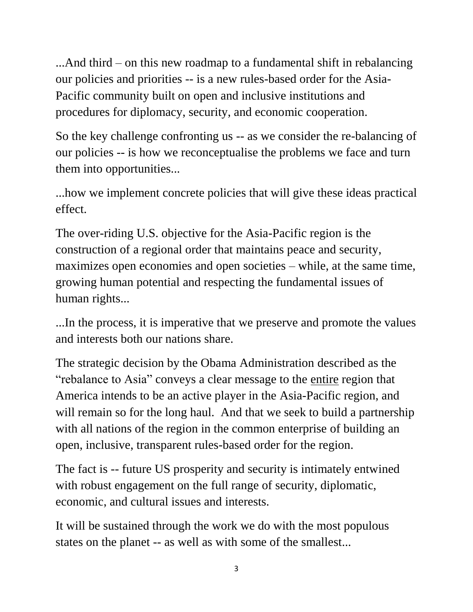...And third – on this new roadmap to a fundamental shift in rebalancing our policies and priorities -- is a new rules-based order for the Asia-Pacific community built on open and inclusive institutions and procedures for diplomacy, security, and economic cooperation.

So the key challenge confronting us -- as we consider the re-balancing of our policies -- is how we reconceptualise the problems we face and turn them into opportunities...

...how we implement concrete policies that will give these ideas practical effect.

The over-riding U.S. objective for the Asia-Pacific region is the construction of a regional order that maintains peace and security, maximizes open economies and open societies – while, at the same time, growing human potential and respecting the fundamental issues of human rights...

...In the process, it is imperative that we preserve and promote the values and interests both our nations share.

The strategic decision by the Obama Administration described as the "rebalance to Asia" conveys a clear message to the entire region that America intends to be an active player in the Asia-Pacific region, and will remain so for the long haul. And that we seek to build a partnership with all nations of the region in the common enterprise of building an open, inclusive, transparent rules-based order for the region.

The fact is -- future US prosperity and security is intimately entwined with robust engagement on the full range of security, diplomatic, economic, and cultural issues and interests.

It will be sustained through the work we do with the most populous states on the planet -- as well as with some of the smallest...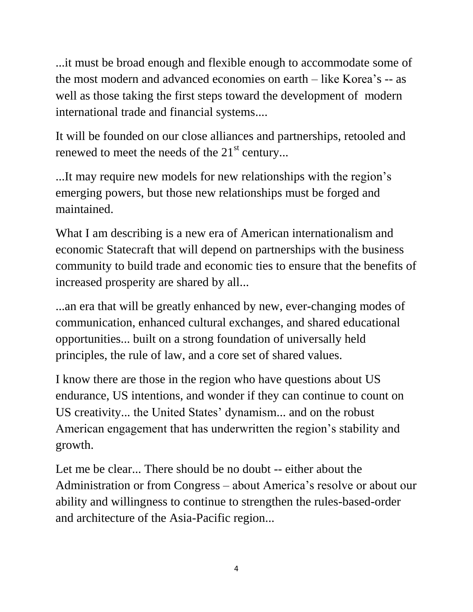...it must be broad enough and flexible enough to accommodate some of the most modern and advanced economies on earth – like Korea's -- as well as those taking the first steps toward the development of modern international trade and financial systems....

It will be founded on our close alliances and partnerships, retooled and renewed to meet the needs of the  $21<sup>st</sup>$  century...

...It may require new models for new relationships with the region's emerging powers, but those new relationships must be forged and maintained.

What I am describing is a new era of American internationalism and economic Statecraft that will depend on partnerships with the business community to build trade and economic ties to ensure that the benefits of increased prosperity are shared by all...

...an era that will be greatly enhanced by new, ever-changing modes of communication, enhanced cultural exchanges, and shared educational opportunities... built on a strong foundation of universally held principles, the rule of law, and a core set of shared values.

I know there are those in the region who have questions about US endurance, US intentions, and wonder if they can continue to count on US creativity... the United States' dynamism... and on the robust American engagement that has underwritten the region's stability and growth.

Let me be clear... There should be no doubt -- either about the Administration or from Congress – about America's resolve or about our ability and willingness to continue to strengthen the rules-based-order and architecture of the Asia-Pacific region...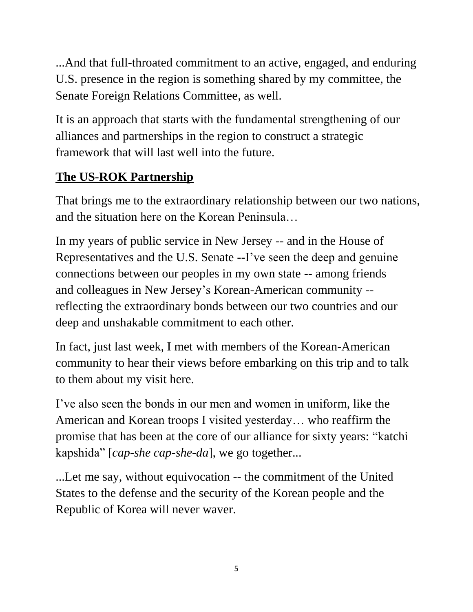...And that full-throated commitment to an active, engaged, and enduring U.S. presence in the region is something shared by my committee, the Senate Foreign Relations Committee, as well.

It is an approach that starts with the fundamental strengthening of our alliances and partnerships in the region to construct a strategic framework that will last well into the future.

## **The US-ROK Partnership**

That brings me to the extraordinary relationship between our two nations, and the situation here on the Korean Peninsula…

In my years of public service in New Jersey -- and in the House of Representatives and the U.S. Senate --I've seen the deep and genuine connections between our peoples in my own state -- among friends and colleagues in New Jersey's Korean-American community - reflecting the extraordinary bonds between our two countries and our deep and unshakable commitment to each other.

In fact, just last week, I met with members of the Korean-American community to hear their views before embarking on this trip and to talk to them about my visit here.

I've also seen the bonds in our men and women in uniform, like the American and Korean troops I visited yesterday… who reaffirm the promise that has been at the core of our alliance for sixty years: "katchi kapshida" [*cap-she cap-she-da*], we go together...

...Let me say, without equivocation -- the commitment of the United States to the defense and the security of the Korean people and the Republic of Korea will never waver.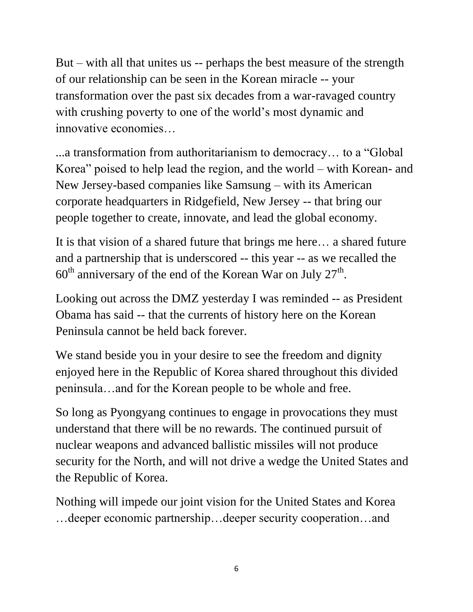But – with all that unites us -- perhaps the best measure of the strength of our relationship can be seen in the Korean miracle -- your transformation over the past six decades from a war-ravaged country with crushing poverty to one of the world's most dynamic and innovative economies…

...a transformation from authoritarianism to democracy… to a "Global Korea" poised to help lead the region, and the world – with Korean- and New Jersey-based companies like Samsung – with its American corporate headquarters in Ridgefield, New Jersey -- that bring our people together to create, innovate, and lead the global economy.

It is that vision of a shared future that brings me here… a shared future and a partnership that is underscored -- this year -- as we recalled the  $60<sup>th</sup>$  anniversary of the end of the Korean War on July  $27<sup>th</sup>$ .

Looking out across the DMZ yesterday I was reminded -- as President Obama has said -- that the currents of history here on the Korean Peninsula cannot be held back forever.

We stand beside you in your desire to see the freedom and dignity enjoyed here in the Republic of Korea shared throughout this divided peninsula…and for the Korean people to be whole and free.

So long as Pyongyang continues to engage in provocations they must understand that there will be no rewards. The continued pursuit of nuclear weapons and advanced ballistic missiles will not produce security for the North, and will not drive a wedge the United States and the Republic of Korea.

Nothing will impede our joint vision for the United States and Korea …deeper economic partnership…deeper security cooperation…and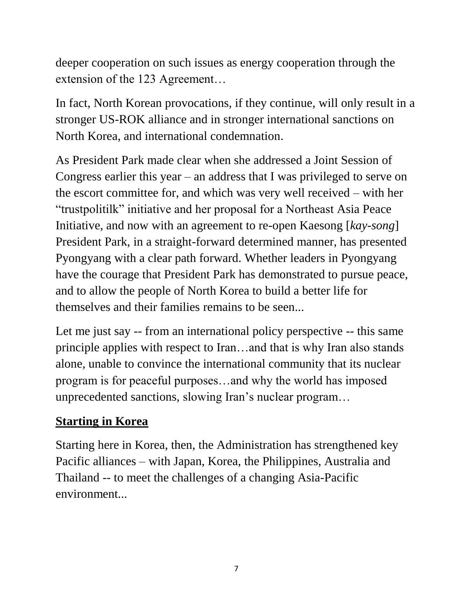deeper cooperation on such issues as energy cooperation through the extension of the 123 Agreement…

In fact, North Korean provocations, if they continue, will only result in a stronger US-ROK alliance and in stronger international sanctions on North Korea, and international condemnation.

As President Park made clear when she addressed a Joint Session of Congress earlier this year – an address that I was privileged to serve on the escort committee for, and which was very well received – with her "trustpolitilk" initiative and her proposal for a Northeast Asia Peace Initiative, and now with an agreement to re-open Kaesong [*kay-song*] President Park, in a straight-forward determined manner, has presented Pyongyang with a clear path forward. Whether leaders in Pyongyang have the courage that President Park has demonstrated to pursue peace, and to allow the people of North Korea to build a better life for themselves and their families remains to be seen...

Let me just say -- from an international policy perspective -- this same principle applies with respect to Iran…and that is why Iran also stands alone, unable to convince the international community that its nuclear program is for peaceful purposes…and why the world has imposed unprecedented sanctions, slowing Iran's nuclear program…

#### **Starting in Korea**

Starting here in Korea, then, the Administration has strengthened key Pacific alliances – with Japan, Korea, the Philippines, Australia and Thailand -- to meet the challenges of a changing Asia-Pacific environment...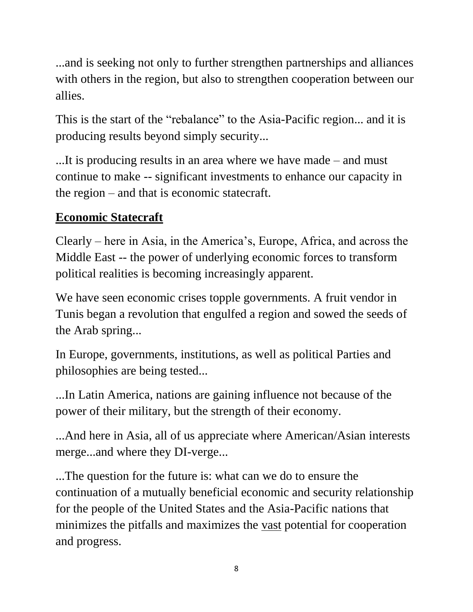...and is seeking not only to further strengthen partnerships and alliances with others in the region, but also to strengthen cooperation between our allies.

This is the start of the "rebalance" to the Asia-Pacific region... and it is producing results beyond simply security...

...It is producing results in an area where we have made – and must continue to make -- significant investments to enhance our capacity in the region – and that is economic statecraft.

### **Economic Statecraft**

Clearly – here in Asia, in the America's, Europe, Africa, and across the Middle East -- the power of underlying economic forces to transform political realities is becoming increasingly apparent.

We have seen economic crises topple governments. A fruit vendor in Tunis began a revolution that engulfed a region and sowed the seeds of the Arab spring...

In Europe, governments, institutions, as well as political Parties and philosophies are being tested...

...In Latin America, nations are gaining influence not because of the power of their military, but the strength of their economy.

...And here in Asia, all of us appreciate where American/Asian interests merge...and where they DI-verge...

...The question for the future is: what can we do to ensure the continuation of a mutually beneficial economic and security relationship for the people of the United States and the Asia-Pacific nations that minimizes the pitfalls and maximizes the vast potential for cooperation and progress.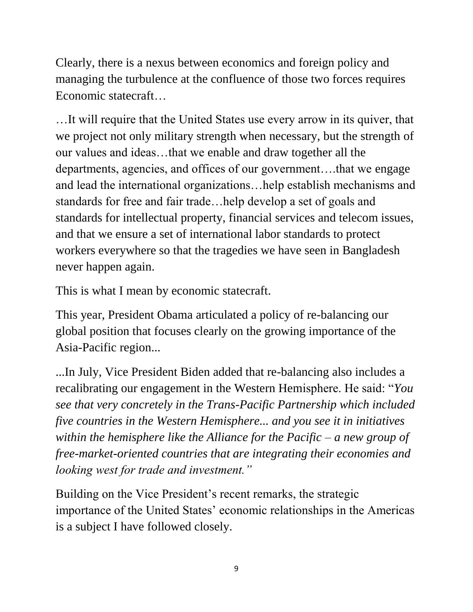Clearly, there is a nexus between economics and foreign policy and managing the turbulence at the confluence of those two forces requires Economic statecraft…

…It will require that the United States use every arrow in its quiver, that we project not only military strength when necessary, but the strength of our values and ideas…that we enable and draw together all the departments, agencies, and offices of our government….that we engage and lead the international organizations…help establish mechanisms and standards for free and fair trade…help develop a set of goals and standards for intellectual property, financial services and telecom issues, and that we ensure a set of international labor standards to protect workers everywhere so that the tragedies we have seen in Bangladesh never happen again.

This is what I mean by economic statecraft.

This year, President Obama articulated a policy of re-balancing our global position that focuses clearly on the growing importance of the Asia-Pacific region...

...In July, Vice President Biden added that re-balancing also includes a recalibrating our engagement in the Western Hemisphere. He said: "*You see that very concretely in the Trans-Pacific Partnership which included five countries in the Western Hemisphere... and you see it in initiatives within the hemisphere like the Alliance for the Pacific – a new group of free-market-oriented countries that are integrating their economies and looking west for trade and investment."*

Building on the Vice President's recent remarks, the strategic importance of the United States' economic relationships in the Americas is a subject I have followed closely.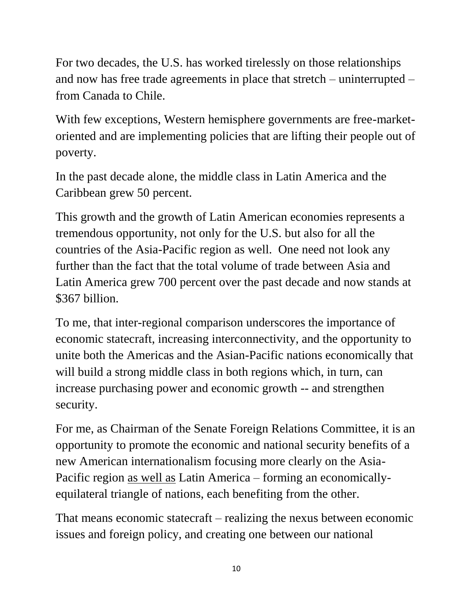For two decades, the U.S. has worked tirelessly on those relationships and now has free trade agreements in place that stretch – uninterrupted – from Canada to Chile.

With few exceptions, Western hemisphere governments are free-marketoriented and are implementing policies that are lifting their people out of poverty.

In the past decade alone, the middle class in Latin America and the Caribbean grew 50 percent.

This growth and the growth of Latin American economies represents a tremendous opportunity, not only for the U.S. but also for all the countries of the Asia-Pacific region as well. One need not look any further than the fact that the total volume of trade between Asia and Latin America grew 700 percent over the past decade and now stands at \$367 billion.

To me, that inter-regional comparison underscores the importance of economic statecraft, increasing interconnectivity, and the opportunity to unite both the Americas and the Asian-Pacific nations economically that will build a strong middle class in both regions which, in turn, can increase purchasing power and economic growth -- and strengthen security.

For me, as Chairman of the Senate Foreign Relations Committee, it is an opportunity to promote the economic and national security benefits of a new American internationalism focusing more clearly on the Asia-Pacific region as well as Latin America – forming an economicallyequilateral triangle of nations, each benefiting from the other.

That means economic statecraft – realizing the nexus between economic issues and foreign policy, and creating one between our national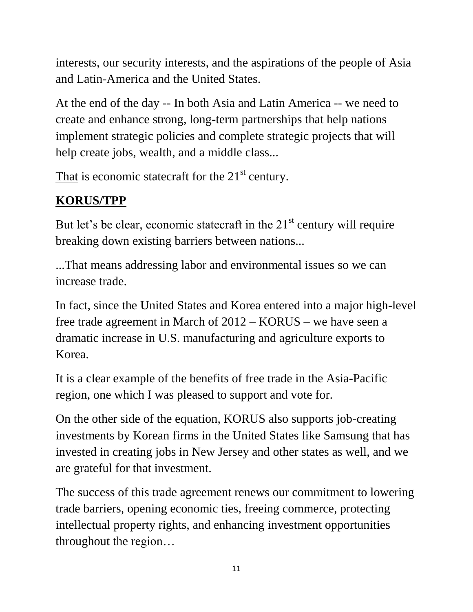interests, our security interests, and the aspirations of the people of Asia and Latin-America and the United States.

At the end of the day -- In both Asia and Latin America -- we need to create and enhance strong, long-term partnerships that help nations implement strategic policies and complete strategic projects that will help create jobs, wealth, and a middle class...

That is economic statecraft for the  $21<sup>st</sup>$  century.

# **KORUS/TPP**

But let's be clear, economic statecraft in the  $21<sup>st</sup>$  century will require breaking down existing barriers between nations...

...That means addressing labor and environmental issues so we can increase trade.

In fact, since the United States and Korea entered into a major high-level free trade agreement in March of 2012 – KORUS – we have seen a dramatic increase in U.S. manufacturing and agriculture exports to Korea.

It is a clear example of the benefits of free trade in the Asia-Pacific region, one which I was pleased to support and vote for.

On the other side of the equation, KORUS also supports job-creating investments by Korean firms in the United States like Samsung that has invested in creating jobs in New Jersey and other states as well, and we are grateful for that investment.

The success of this trade agreement renews our commitment to lowering trade barriers, opening economic ties, freeing commerce, protecting intellectual property rights, and enhancing investment opportunities throughout the region…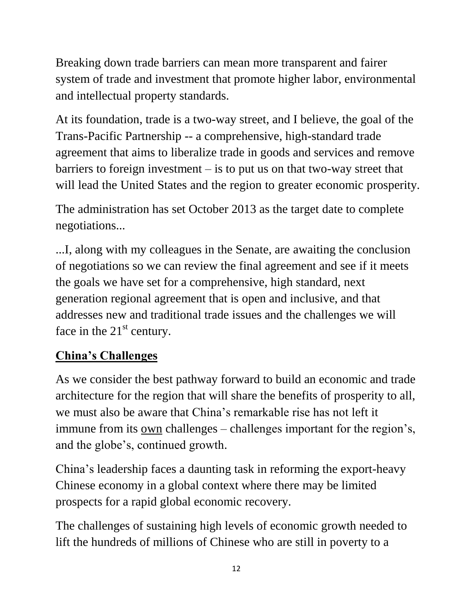Breaking down trade barriers can mean more transparent and fairer system of trade and investment that promote higher labor, environmental and intellectual property standards.

At its foundation, trade is a two-way street, and I believe, the goal of the Trans-Pacific Partnership -- a comprehensive, high-standard trade agreement that aims to liberalize trade in goods and services and remove  $barriers$  to foreign investment  $-$  is to put us on that two-way street that will lead the United States and the region to greater economic prosperity.

The administration has set October 2013 as the target date to complete negotiations...

...I, along with my colleagues in the Senate, are awaiting the conclusion of negotiations so we can review the final agreement and see if it meets the goals we have set for a comprehensive, high standard, next generation regional agreement that is open and inclusive, and that addresses new and traditional trade issues and the challenges we will face in the  $21<sup>st</sup>$  century.

## **China's Challenges**

As we consider the best pathway forward to build an economic and trade architecture for the region that will share the benefits of prosperity to all, we must also be aware that China's remarkable rise has not left it immune from its own challenges – challenges important for the region's, and the globe's, continued growth.

China's leadership faces a daunting task in reforming the export-heavy Chinese economy in a global context where there may be limited prospects for a rapid global economic recovery.

The challenges of sustaining high levels of economic growth needed to lift the hundreds of millions of Chinese who are still in poverty to a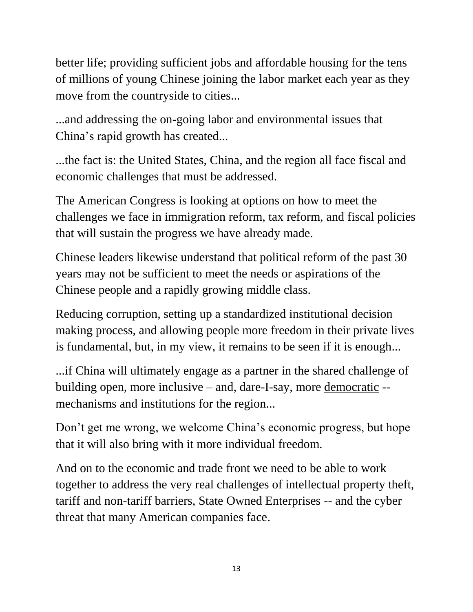better life; providing sufficient jobs and affordable housing for the tens of millions of young Chinese joining the labor market each year as they move from the countryside to cities...

...and addressing the on-going labor and environmental issues that China's rapid growth has created...

...the fact is: the United States, China, and the region all face fiscal and economic challenges that must be addressed.

The American Congress is looking at options on how to meet the challenges we face in immigration reform, tax reform, and fiscal policies that will sustain the progress we have already made.

Chinese leaders likewise understand that political reform of the past 30 years may not be sufficient to meet the needs or aspirations of the Chinese people and a rapidly growing middle class.

Reducing corruption, setting up a standardized institutional decision making process, and allowing people more freedom in their private lives is fundamental, but, in my view, it remains to be seen if it is enough...

...if China will ultimately engage as a partner in the shared challenge of building open, more inclusive – and, dare-I-say, more democratic - mechanisms and institutions for the region...

Don't get me wrong, we welcome China's economic progress, but hope that it will also bring with it more individual freedom.

And on to the economic and trade front we need to be able to work together to address the very real challenges of intellectual property theft, tariff and non-tariff barriers, State Owned Enterprises -- and the cyber threat that many American companies face.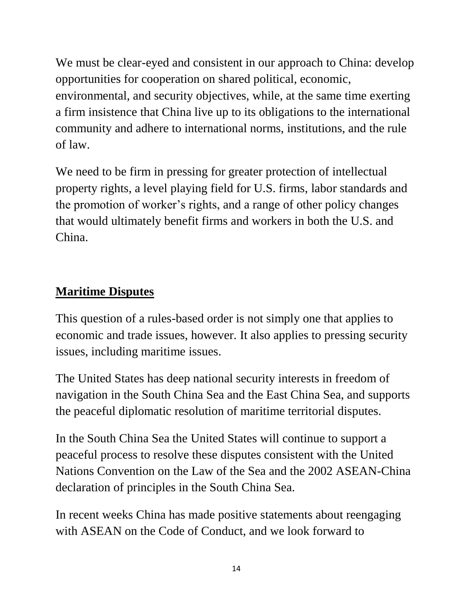We must be clear-eyed and consistent in our approach to China: develop opportunities for cooperation on shared political, economic, environmental, and security objectives, while, at the same time exerting a firm insistence that China live up to its obligations to the international community and adhere to international norms, institutions, and the rule of law.

We need to be firm in pressing for greater protection of intellectual property rights, a level playing field for U.S. firms, labor standards and the promotion of worker's rights, and a range of other policy changes that would ultimately benefit firms and workers in both the U.S. and China.

#### **Maritime Disputes**

This question of a rules-based order is not simply one that applies to economic and trade issues, however. It also applies to pressing security issues, including maritime issues.

The United States has deep national security interests in freedom of navigation in the South China Sea and the East China Sea, and supports the peaceful diplomatic resolution of maritime territorial disputes.

In the South China Sea the United States will continue to support a peaceful process to resolve these disputes consistent with the United Nations Convention on the Law of the Sea and the 2002 ASEAN-China declaration of principles in the South China Sea.

In recent weeks China has made positive statements about reengaging with ASEAN on the Code of Conduct, and we look forward to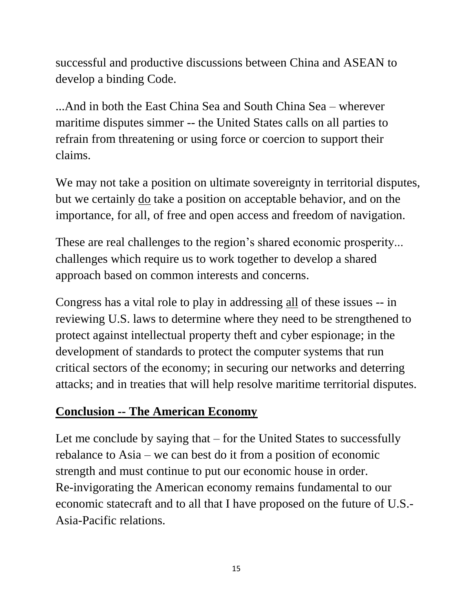successful and productive discussions between China and ASEAN to develop a binding Code.

...And in both the East China Sea and South China Sea – wherever maritime disputes simmer -- the United States calls on all parties to refrain from threatening or using force or coercion to support their claims.

We may not take a position on ultimate sovereignty in territorial disputes, but we certainly do take a position on acceptable behavior, and on the importance, for all, of free and open access and freedom of navigation.

These are real challenges to the region's shared economic prosperity... challenges which require us to work together to develop a shared approach based on common interests and concerns.

Congress has a vital role to play in addressing all of these issues -- in reviewing U.S. laws to determine where they need to be strengthened to protect against intellectual property theft and cyber espionage; in the development of standards to protect the computer systems that run critical sectors of the economy; in securing our networks and deterring attacks; and in treaties that will help resolve maritime territorial disputes.

#### **Conclusion -- The American Economy**

Let me conclude by saying that – for the United States to successfully rebalance to Asia – we can best do it from a position of economic strength and must continue to put our economic house in order. Re-invigorating the American economy remains fundamental to our economic statecraft and to all that I have proposed on the future of U.S.- Asia-Pacific relations.